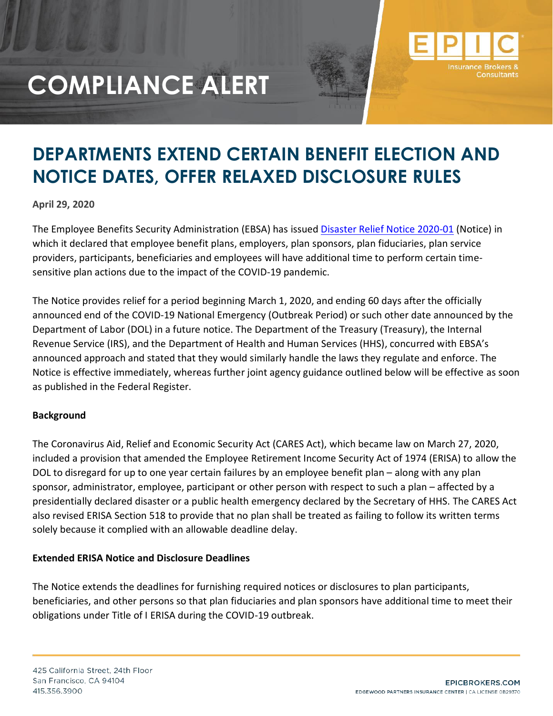

### **DEPARTMENTS EXTEND CERTAIN BENEFIT ELECTION AND NOTICE DATES, OFFER RELAXED DISCLOSURE RULES**

#### **April 29, 2020**

The Employee Benefits Security Administration (EBSA) has issued [Disaster Relief Notice 2020-01](https://www.dol.gov/sites/dolgov/files/ebsa/employers-and-advisers/plan-administration-and-compliance/disaster-relief/ebsa-disaster-relief-notice-2020-01.pdf) (Notice) in which it declared that employee benefit plans, employers, plan sponsors, plan fiduciaries, plan service providers, participants, beneficiaries and employees will have additional time to perform certain timesensitive plan actions due to the impact of the COVID-19 pandemic.

The Notice provides relief for a period beginning March 1, 2020, and ending 60 days after the officially announced end of the COVID-19 National Emergency (Outbreak Period) or such other date announced by the Department of Labor (DOL) in a future notice. The Department of the Treasury (Treasury), the Internal Revenue Service (IRS), and the Department of Health and Human Services (HHS), concurred with EBSA's announced approach and stated that they would similarly handle the laws they regulate and enforce. The Notice is effective immediately, whereas further joint agency guidance outlined below will be effective as soon as published in the Federal Register.

#### **Background**

The Coronavirus Aid, Relief and Economic Security Act (CARES Act), which became law on March 27, 2020, included a provision that amended the Employee Retirement Income Security Act of 1974 (ERISA) to allow the DOL to disregard for up to one year certain failures by an employee benefit plan – along with any plan sponsor, administrator, employee, participant or other person with respect to such a plan – affected by a presidentially declared disaster or a public health emergency declared by the Secretary of HHS. The CARES Act also revised ERISA Section 518 to provide that no plan shall be treated as failing to follow its written terms solely because it complied with an allowable deadline delay.

#### **Extended ERISA Notice and Disclosure Deadlines**

The Notice extends the deadlines for furnishing required notices or disclosures to plan participants, beneficiaries, and other persons so that plan fiduciaries and plan sponsors have additional time to meet their obligations under Title of I ERISA during the COVID-19 outbreak.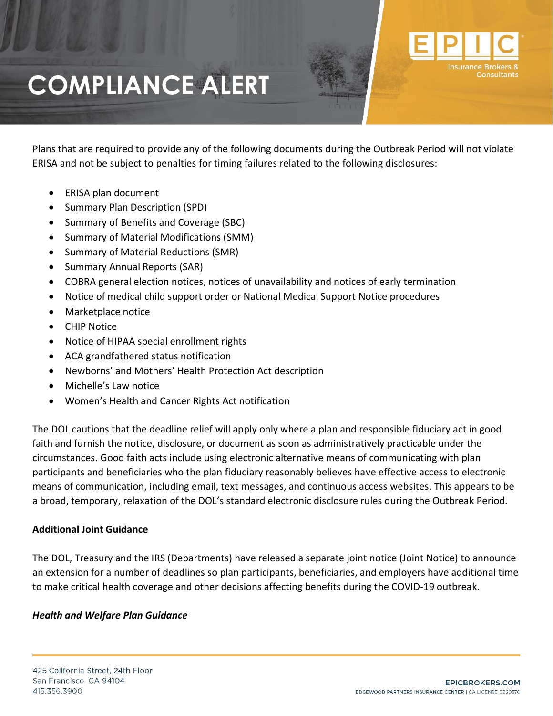Plans that are required to provide any of the following documents during the Outbreak Period will not violate ERISA and not be subject to penalties for timing failures related to the following disclosures:

- ERISA plan document
- Summary Plan Description (SPD)
- Summary of Benefits and Coverage (SBC)
- Summary of Material Modifications (SMM)
- Summary of Material Reductions (SMR)
- Summary Annual Reports (SAR)
- COBRA general election notices, notices of unavailability and notices of early termination
- Notice of medical child support order or National Medical Support Notice procedures
- Marketplace notice
- CHIP Notice
- Notice of HIPAA special enrollment rights
- ACA grandfathered status notification
- Newborns' and Mothers' Health Protection Act description
- Michelle's Law notice
- Women's Health and Cancer Rights Act notification

The DOL cautions that the deadline relief will apply only where a plan and responsible fiduciary act in good faith and furnish the notice, disclosure, or document as soon as administratively practicable under the circumstances. Good faith acts include using electronic alternative means of communicating with plan participants and beneficiaries who the plan fiduciary reasonably believes have effective access to electronic means of communication, including email, text messages, and continuous access websites. This appears to be a broad, temporary, relaxation of the DOL's standard electronic disclosure rules during the Outbreak Period.

### **Additional Joint Guidance**

The DOL, Treasury and the IRS (Departments) have released a separate joint notice (Joint Notice) to announce an extension for a number of deadlines so plan participants, beneficiaries, and employers have additional time to make critical health coverage and other decisions affecting benefits during the COVID-19 outbreak.

#### *Health and Welfare Plan Guidance*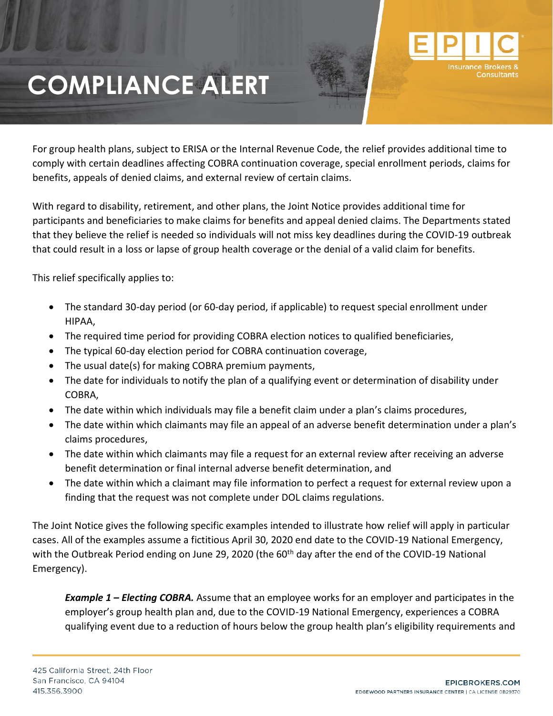For group health plans, subject to ERISA or the Internal Revenue Code, the relief provides additional time to comply with certain deadlines affecting COBRA continuation coverage, special enrollment periods, claims for benefits, appeals of denied claims, and external review of certain claims.

With regard to disability, retirement, and other plans, the Joint Notice provides additional time for participants and beneficiaries to make claims for benefits and appeal denied claims. The Departments stated that they believe the relief is needed so individuals will not miss key deadlines during the COVID-19 outbreak that could result in a loss or lapse of group health coverage or the denial of a valid claim for benefits.

This relief specifically applies to:

- The standard 30-day period (or 60-day period, if applicable) to request special enrollment under HIPAA,
- The required time period for providing COBRA election notices to qualified beneficiaries,
- The typical 60-day election period for COBRA continuation coverage,
- The usual date(s) for making COBRA premium payments,
- The date for individuals to notify the plan of a qualifying event or determination of disability under COBRA,
- The date within which individuals may file a benefit claim under a plan's claims procedures,
- The date within which claimants may file an appeal of an adverse benefit determination under a plan's claims procedures,
- The date within which claimants may file a request for an external review after receiving an adverse benefit determination or final internal adverse benefit determination, and
- The date within which a claimant may file information to perfect a request for external review upon a finding that the request was not complete under DOL claims regulations.

The Joint Notice gives the following specific examples intended to illustrate how relief will apply in particular cases. All of the examples assume a fictitious April 30, 2020 end date to the COVID-19 National Emergency, with the Outbreak Period ending on June 29, 2020 (the 60<sup>th</sup> day after the end of the COVID-19 National Emergency).

*Example 1 – Electing COBRA.* Assume that an employee works for an employer and participates in the employer's group health plan and, due to the COVID-19 National Emergency, experiences a COBRA qualifying event due to a reduction of hours below the group health plan's eligibility requirements and

**Insurance Bre**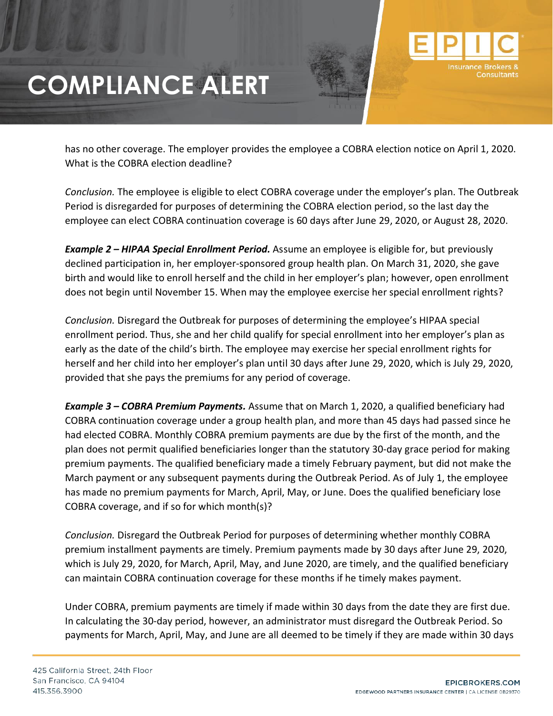has no other coverage. The employer provides the employee a COBRA election notice on April 1, 2020. What is the COBRA election deadline?

*Conclusion.* The employee is eligible to elect COBRA coverage under the employer's plan. The Outbreak Period is disregarded for purposes of determining the COBRA election period, so the last day the employee can elect COBRA continuation coverage is 60 days after June 29, 2020, or August 28, 2020.

*Example 2 – HIPAA Special Enrollment Period.* Assume an employee is eligible for, but previously declined participation in, her employer-sponsored group health plan. On March 31, 2020, she gave birth and would like to enroll herself and the child in her employer's plan; however, open enrollment does not begin until November 15. When may the employee exercise her special enrollment rights?

*Conclusion.* Disregard the Outbreak for purposes of determining the employee's HIPAA special enrollment period. Thus, she and her child qualify for special enrollment into her employer's plan as early as the date of the child's birth. The employee may exercise her special enrollment rights for herself and her child into her employer's plan until 30 days after June 29, 2020, which is July 29, 2020, provided that she pays the premiums for any period of coverage.

*Example 3 – COBRA Premium Payments.* Assume that on March 1, 2020, a qualified beneficiary had COBRA continuation coverage under a group health plan, and more than 45 days had passed since he had elected COBRA. Monthly COBRA premium payments are due by the first of the month, and the plan does not permit qualified beneficiaries longer than the statutory 30-day grace period for making premium payments. The qualified beneficiary made a timely February payment, but did not make the March payment or any subsequent payments during the Outbreak Period. As of July 1, the employee has made no premium payments for March, April, May, or June. Does the qualified beneficiary lose COBRA coverage, and if so for which month(s)?

*Conclusion.* Disregard the Outbreak Period for purposes of determining whether monthly COBRA premium installment payments are timely. Premium payments made by 30 days after June 29, 2020, which is July 29, 2020, for March, April, May, and June 2020, are timely, and the qualified beneficiary can maintain COBRA continuation coverage for these months if he timely makes payment.

Under COBRA, premium payments are timely if made within 30 days from the date they are first due. In calculating the 30-day period, however, an administrator must disregard the Outbreak Period. So payments for March, April, May, and June are all deemed to be timely if they are made within 30 days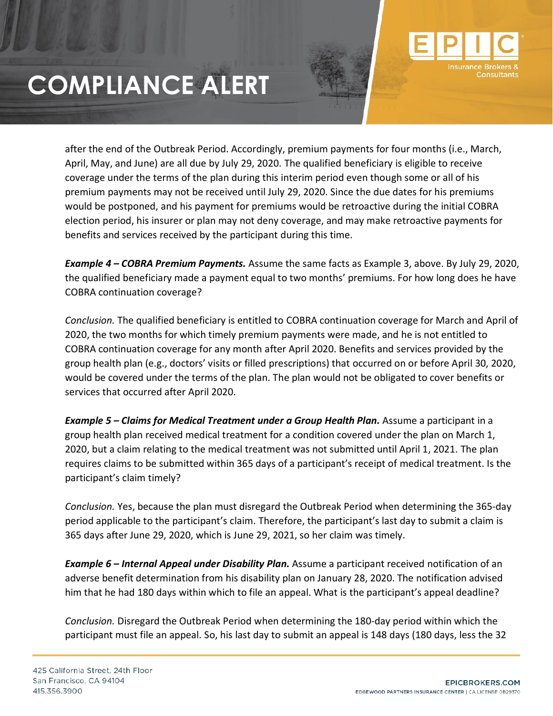

*Example 4 – COBRA Premium Payments.* Assume the same facts as Example 3, above. By July 29, 2020, the qualified beneficiary made a payment equal to two months' premiums. For how long does he have COBRA continuation coverage?

*Conclusion.* The qualified beneficiary is entitled to COBRA continuation coverage for March and April of 2020, the two months for which timely premium payments were made, and he is not entitled to COBRA continuation coverage for any month after April 2020. Benefits and services provided by the group health plan (e.g., doctors' visits or filled prescriptions) that occurred on or before April 30, 2020, would be covered under the terms of the plan. The plan would not be obligated to cover benefits or services that occurred after April 2020.

*Example 5 – Claims for Medical Treatment under a Group Health Plan.* Assume a participant in a group health plan received medical treatment for a condition covered under the plan on March 1, 2020, but a claim relating to the medical treatment was not submitted until April 1, 2021. The plan requires claims to be submitted within 365 days of a participant's receipt of medical treatment. Is the participant's claim timely?

*Conclusion.* Yes, because the plan must disregard the Outbreak Period when determining the 365-day period applicable to the participant's claim. Therefore, the participant's last day to submit a claim is 365 days after June 29, 2020, which is June 29, 2021, so her claim was timely.

*Example 6 – Internal Appeal under Disability Plan.* Assume a participant received notification of an adverse benefit determination from his disability plan on January 28, 2020. The notification advised him that he had 180 days within which to file an appeal. What is the participant's appeal deadline?

*Conclusion.* Disregard the Outbreak Period when determining the 180-day period within which the participant must file an appeal. So, his last day to submit an appeal is 148 days (180 days, less the 32

**Insurance Bro**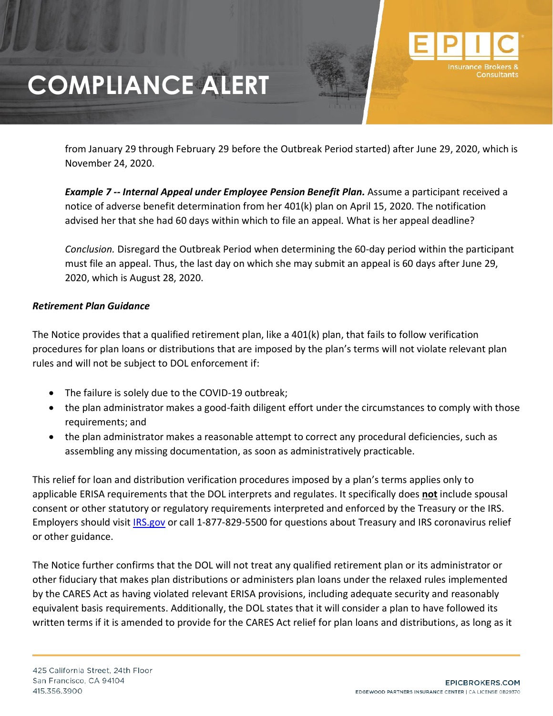from January 29 through February 29 before the Outbreak Period started) after June 29, 2020, which is November 24, 2020.

*Example 7 -- Internal Appeal under Employee Pension Benefit Plan.* Assume a participant received a notice of adverse benefit determination from her 401(k) plan on April 15, 2020. The notification advised her that she had 60 days within which to file an appeal. What is her appeal deadline?

*Conclusion.* Disregard the Outbreak Period when determining the 60-day period within the participant must file an appeal. Thus, the last day on which she may submit an appeal is 60 days after June 29, 2020, which is August 28, 2020.

### *Retirement Plan Guidance*

The Notice provides that a qualified retirement plan, like a 401(k) plan, that fails to follow verification procedures for plan loans or distributions that are imposed by the plan's terms will not violate relevant plan rules and will not be subject to DOL enforcement if:

- The failure is solely due to the COVID-19 outbreak;
- the plan administrator makes a good-faith diligent effort under the circumstances to comply with those requirements; and
- the plan administrator makes a reasonable attempt to correct any procedural deficiencies, such as assembling any missing documentation, as soon as administratively practicable.

This relief for loan and distribution verification procedures imposed by a plan's terms applies only to applicable ERISA requirements that the DOL interprets and regulates. It specifically does **not** include spousal consent or other statutory or regulatory requirements interpreted and enforced by the Treasury or the IRS. Employers should visit [IRS.gov](https://www.irs.gov/coronavirus-tax-relief-and-economic-impact-payments) or call 1-877-829-5500 for questions about Treasury and IRS coronavirus relief or other guidance.

The Notice further confirms that the DOL will not treat any qualified retirement plan or its administrator or other fiduciary that makes plan distributions or administers plan loans under the relaxed rules implemented by the CARES Act as having violated relevant ERISA provisions, including adequate security and reasonably equivalent basis requirements. Additionally, the DOL states that it will consider a plan to have followed its written terms if it is amended to provide for the CARES Act relief for plan loans and distributions, as long as it